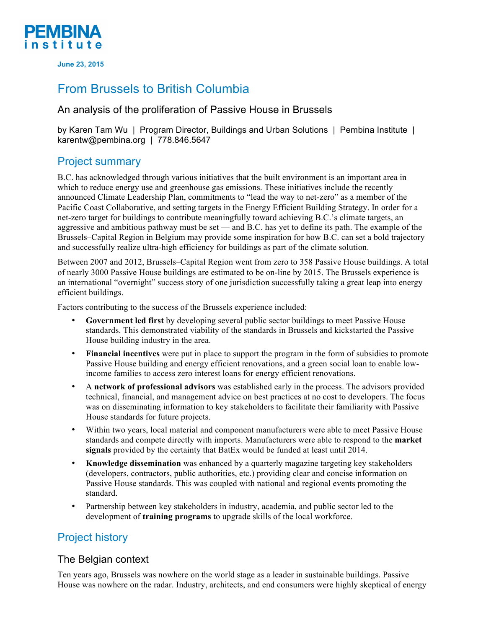

**June 23, 2015**

## From Brussels to British Columbia

#### An analysis of the proliferation of Passive House in Brussels

by Karen Tam Wu | Program Director, Buildings and Urban Solutions | Pembina Institute | karentw@pembina.org | 778.846.5647

### Project summary

B.C. has acknowledged through various initiatives that the built environment is an important area in which to reduce energy use and greenhouse gas emissions. These initiatives include the recently announced Climate Leadership Plan, commitments to "lead the way to net-zero" as a member of the Pacific Coast Collaborative, and setting targets in the Energy Efficient Building Strategy. In order for a net-zero target for buildings to contribute meaningfully toward achieving B.C.'s climate targets, an aggressive and ambitious pathway must be set — and B.C. has yet to define its path. The example of the Brussels–Capital Region in Belgium may provide some inspiration for how B.C. can set a bold trajectory and successfully realize ultra-high efficiency for buildings as part of the climate solution.

Between 2007 and 2012, Brussels–Capital Region went from zero to 358 Passive House buildings. A total of nearly 3000 Passive House buildings are estimated to be on-line by 2015. The Brussels experience is an international "overnight" success story of one jurisdiction successfully taking a great leap into energy efficient buildings.

Factors contributing to the success of the Brussels experience included:

- **Government led first** by developing several public sector buildings to meet Passive House standards. This demonstrated viability of the standards in Brussels and kickstarted the Passive House building industry in the area.
- **Financial incentives** were put in place to support the program in the form of subsidies to promote Passive House building and energy efficient renovations, and a green social loan to enable lowincome families to access zero interest loans for energy efficient renovations.
- A **network of professional advisors** was established early in the process. The advisors provided technical, financial, and management advice on best practices at no cost to developers. The focus was on disseminating information to key stakeholders to facilitate their familiarity with Passive House standards for future projects.
- Within two years, local material and component manufacturers were able to meet Passive House standards and compete directly with imports. Manufacturers were able to respond to the **market signals** provided by the certainty that BatEx would be funded at least until 2014.
- **Knowledge dissemination** was enhanced by a quarterly magazine targeting key stakeholders (developers, contractors, public authorities, etc.) providing clear and concise information on Passive House standards. This was coupled with national and regional events promoting the standard.
- Partnership between key stakeholders in industry, academia, and public sector led to the development of **training programs** to upgrade skills of the local workforce.

## Project history

#### The Belgian context

Ten years ago, Brussels was nowhere on the world stage as a leader in sustainable buildings. Passive House was nowhere on the radar. Industry, architects, and end consumers were highly skeptical of energy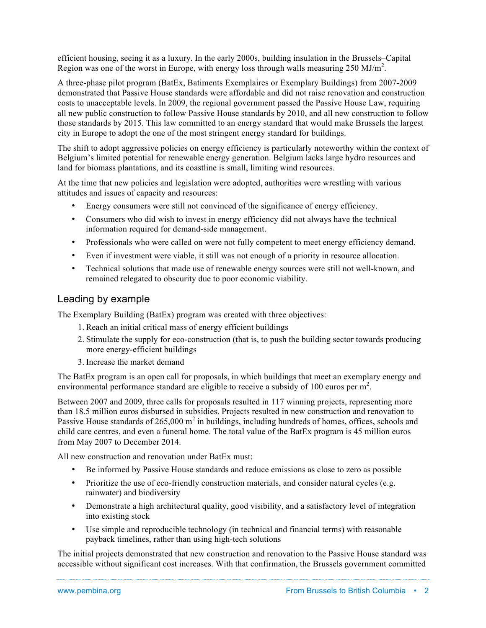efficient housing, seeing it as a luxury. In the early 2000s, building insulation in the Brussels–Capital Region was one of the worst in Europe, with energy loss through walls measuring 250 MJ/m<sup>2</sup>.

A three-phase pilot program (BatEx, Batiments Exemplaires or Exemplary Buildings) from 2007-2009 demonstrated that Passive House standards were affordable and did not raise renovation and construction costs to unacceptable levels. In 2009, the regional government passed the Passive House Law, requiring all new public construction to follow Passive House standards by 2010, and all new construction to follow those standards by 2015. This law committed to an energy standard that would make Brussels the largest city in Europe to adopt the one of the most stringent energy standard for buildings.

The shift to adopt aggressive policies on energy efficiency is particularly noteworthy within the context of Belgium's limited potential for renewable energy generation. Belgium lacks large hydro resources and land for biomass plantations, and its coastline is small, limiting wind resources.

At the time that new policies and legislation were adopted, authorities were wrestling with various attitudes and issues of capacity and resources:

- Energy consumers were still not convinced of the significance of energy efficiency.
- Consumers who did wish to invest in energy efficiency did not always have the technical information required for demand-side management.
- Professionals who were called on were not fully competent to meet energy efficiency demand.
- Even if investment were viable, it still was not enough of a priority in resource allocation.
- Technical solutions that made use of renewable energy sources were still not well-known, and remained relegated to obscurity due to poor economic viability.

#### Leading by example

The Exemplary Building (BatEx) program was created with three objectives:

- 1. Reach an initial critical mass of energy efficient buildings
- 2. Stimulate the supply for eco-construction (that is, to push the building sector towards producing more energy-efficient buildings
- 3. Increase the market demand

The BatEx program is an open call for proposals, in which buildings that meet an exemplary energy and environmental performance standard are eligible to receive a subsidy of 100 euros per  $m^2$ .

Between 2007 and 2009, three calls for proposals resulted in 117 winning projects, representing more than 18.5 million euros disbursed in subsidies. Projects resulted in new construction and renovation to Passive House standards of  $265,000 \text{ m}^2$  in buildings, including hundreds of homes, offices, schools and child care centres, and even a funeral home. The total value of the BatEx program is 45 million euros from May 2007 to December 2014.

All new construction and renovation under BatEx must:

- Be informed by Passive House standards and reduce emissions as close to zero as possible
- Prioritize the use of eco-friendly construction materials, and consider natural cycles (e.g. rainwater) and biodiversity
- Demonstrate a high architectural quality, good visibility, and a satisfactory level of integration into existing stock
- Use simple and reproducible technology (in technical and financial terms) with reasonable payback timelines, rather than using high-tech solutions

The initial projects demonstrated that new construction and renovation to the Passive House standard was accessible without significant cost increases. With that confirmation, the Brussels government committed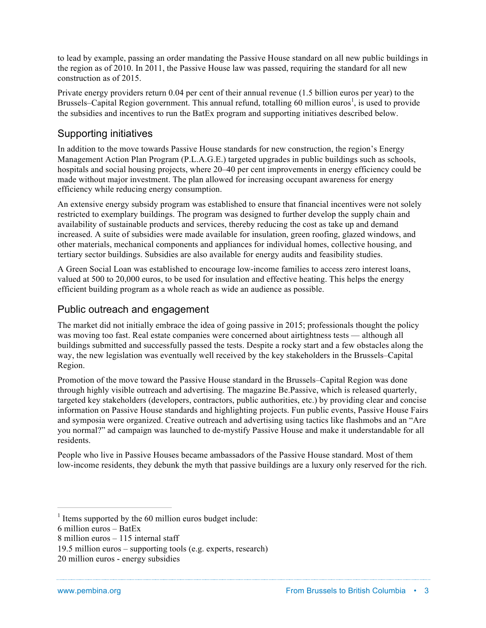to lead by example, passing an order mandating the Passive House standard on all new public buildings in the region as of 2010. In 2011, the Passive House law was passed, requiring the standard for all new construction as of 2015.

Private energy providers return 0.04 per cent of their annual revenue (1.5 billion euros per year) to the Brussels–Capital Region government. This annual refund, totalling 60 million euros<sup>1</sup>, is used to provide the subsidies and incentives to run the BatEx program and supporting initiatives described below.

#### Supporting initiatives

In addition to the move towards Passive House standards for new construction, the region's Energy Management Action Plan Program (P.L.A.G.E.) targeted upgrades in public buildings such as schools, hospitals and social housing projects, where 20–40 per cent improvements in energy efficiency could be made without major investment. The plan allowed for increasing occupant awareness for energy efficiency while reducing energy consumption.

An extensive energy subsidy program was established to ensure that financial incentives were not solely restricted to exemplary buildings. The program was designed to further develop the supply chain and availability of sustainable products and services, thereby reducing the cost as take up and demand increased. A suite of subsidies were made available for insulation, green roofing, glazed windows, and other materials, mechanical components and appliances for individual homes, collective housing, and tertiary sector buildings. Subsidies are also available for energy audits and feasibility studies.

A Green Social Loan was established to encourage low-income families to access zero interest loans, valued at 500 to 20,000 euros, to be used for insulation and effective heating. This helps the energy efficient building program as a whole reach as wide an audience as possible.

#### Public outreach and engagement

The market did not initially embrace the idea of going passive in 2015; professionals thought the policy was moving too fast. Real estate companies were concerned about airtightness tests — although all buildings submitted and successfully passed the tests. Despite a rocky start and a few obstacles along the way, the new legislation was eventually well received by the key stakeholders in the Brussels–Capital Region.

Promotion of the move toward the Passive House standard in the Brussels–Capital Region was done through highly visible outreach and advertising. The magazine Be.Passive, which is released quarterly, targeted key stakeholders (developers, contractors, public authorities, etc.) by providing clear and concise information on Passive House standards and highlighting projects. Fun public events, Passive House Fairs and symposia were organized. Creative outreach and advertising using tactics like flashmobs and an "Are you normal?" ad campaign was launched to de-mystify Passive House and make it understandable for all residents.

People who live in Passive Houses became ambassadors of the Passive House standard. Most of them low-income residents, they debunk the myth that passive buildings are a luxury only reserved for the rich.

6 million euros – BatEx

 $\overline{a}$ 

 $1$  Items supported by the 60 million euros budget include:

<sup>8</sup> million euros – 115 internal staff

<sup>19.5</sup> million euros – supporting tools (e.g. experts, research)

<sup>20</sup> million euros - energy subsidies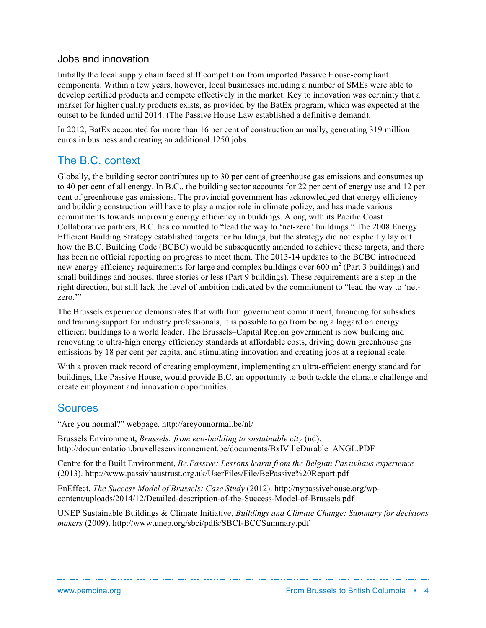#### Jobs and innovation

Initially the local supply chain faced stiff competition from imported Passive House-compliant components. Within a few years, however, local businesses including a number of SMEs were able to develop certified products and compete effectively in the market. Key to innovation was certainty that a market for higher quality products exists, as provided by the BatEx program, which was expected at the outset to be funded until 2014. (The Passive House Law established a definitive demand).

In 2012, BatEx accounted for more than 16 per cent of construction annually, generating 319 million euros in business and creating an additional 1250 jobs.

### The B.C. context

Globally, the building sector contributes up to 30 per cent of greenhouse gas emissions and consumes up to 40 per cent of all energy. In B.C., the building sector accounts for 22 per cent of energy use and 12 per cent of greenhouse gas emissions. The provincial government has acknowledged that energy efficiency and building construction will have to play a major role in climate policy, and has made various commitments towards improving energy efficiency in buildings. Along with its Pacific Coast Collaborative partners, B.C. has committed to "lead the way to 'net-zero' buildings." The 2008 Energy Efficient Building Strategy established targets for buildings, but the strategy did not explicitly lay out how the B.C. Building Code (BCBC) would be subsequently amended to achieve these targets, and there has been no official reporting on progress to meet them. The 2013-14 updates to the BCBC introduced new energy efficiency requirements for large and complex buildings over 600  $m<sup>2</sup>$  (Part 3 buildings) and small buildings and houses, three stories or less (Part 9 buildings). These requirements are a step in the right direction, but still lack the level of ambition indicated by the commitment to "lead the way to 'netzero."

The Brussels experience demonstrates that with firm government commitment, financing for subsidies and training/support for industry professionals, it is possible to go from being a laggard on energy efficient buildings to a world leader. The Brussels–Capital Region government is now building and renovating to ultra-high energy efficiency standards at affordable costs, driving down greenhouse gas emissions by 18 per cent per capita, and stimulating innovation and creating jobs at a regional scale.

With a proven track record of creating employment, implementing an ultra-efficient energy standard for buildings, like Passive House, would provide B.C. an opportunity to both tackle the climate challenge and create employment and innovation opportunities.

### Sources

"Are you normal?" webpage. http://areyounormal.be/nl/

Brussels Environment, *Brussels: from eco-building to sustainable city* (nd). http://documentation.bruxellesenvironnement.be/documents/BxlVilleDurable\_ANGL.PDF

Centre for the Built Environment, *Be.Passive: Lessons learnt from the Belgian Passivhaus experience* (2013). http://www.passivhaustrust.org.uk/UserFiles/File/BePassive%20Report.pdf

EnEffect, *The Success Model of Brussels: Case Study* (2012). http://nypassivehouse.org/wpcontent/uploads/2014/12/Detailed-description-of-the-Success-Model-of-Brussels.pdf

UNEP Sustainable Buildings & Climate Initiative, *Buildings and Climate Change: Summary for decisions makers* (2009). http://www.unep.org/sbci/pdfs/SBCI-BCCSummary.pdf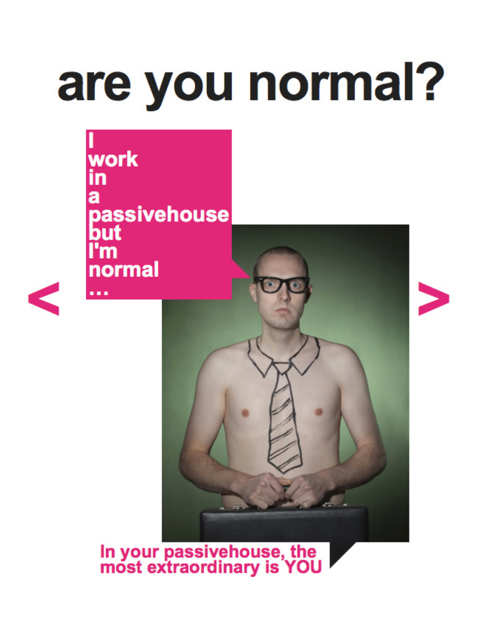# are you normal?

work<br>in passivehouse<br>but<br>I'm normal





In your passivehouse, the<br>most extraordinary is YOU